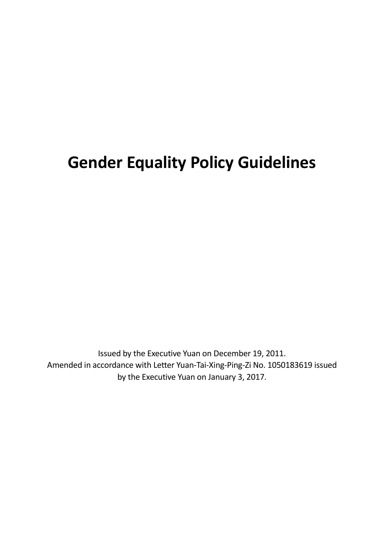# **Gender Equality Policy Guidelines**

Issued by the Executive Yuan on December 19, 2011. Amended in accordance with Letter Yuan-Tai-Xing-Ping-Zi No. 1050183619 issued by the Executive Yuan on January 3, 2017.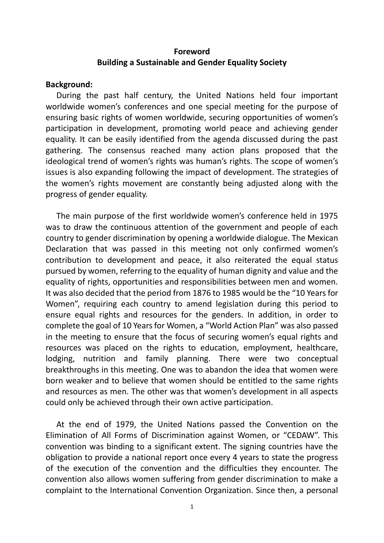#### **Foreword Building a Sustainable and Gender Equality Society**

#### **Background:**

During the past half century, the United Nations held four important worldwide women's conferences and one special meeting for the purpose of ensuring basic rights of women worldwide, securing opportunities of women's participation in development, promoting world peace and achieving gender equality. It can be easily identified from the agenda discussed during the past gathering. The consensus reached many action plans proposed that the ideological trend of women's rights was human's rights. The scope of women's issues is also expanding following the impact of development. The strategies of the women's rights movement are constantly being adjusted along with the progress of gender equality.

The main purpose of the first worldwide women's conference held in 1975 was to draw the continuous attention of the government and people of each country to gender discrimination by opening a worldwide dialogue. The Mexican Declaration that was passed in this meeting not only confirmed women's contribution to development and peace, it also reiterated the equal status pursued by women, referring to the equality of human dignity and value and the equality of rights, opportunities and responsibilities between men and women. It was also decided that the period from 1876 to 1985 would be the "10 Years for Women", requiring each country to amend legislation during this period to ensure equal rights and resources for the genders. In addition, in order to complete the goal of 10 Years for Women, a "World Action Plan" was also passed in the meeting to ensure that the focus of securing women's equal rights and resources was placed on the rights to education, employment, healthcare, lodging, nutrition and family planning. There were two conceptual breakthroughs in this meeting. One was to abandon the idea that women were born weaker and to believe that women should be entitled to the same rights and resources as men. The other was that women's development in all aspects could only be achieved through their own active participation.

At the end of 1979, the United Nations passed the Convention on the Elimination of All Forms of Discrimination against Women, or "CEDAW". This convention was binding to a significant extent. The signing countries have the obligation to provide a national report once every 4 years to state the progress of the execution of the convention and the difficulties they encounter. The convention also allows women suffering from gender discrimination to make a complaint to the International Convention Organization. Since then, a personal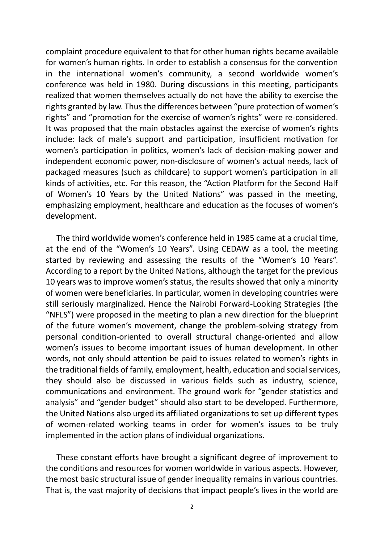complaint procedure equivalent to that for other human rights became available for women's human rights. In order to establish a consensus for the convention in the international women's community, a second worldwide women's conference was held in 1980. During discussions in this meeting, participants realized that women themselves actually do not have the ability to exercise the rights granted by law. Thus the differences between "pure protection of women's rights" and "promotion for the exercise of women's rights" were re-considered. It was proposed that the main obstacles against the exercise of women's rights include: lack of male's support and participation, insufficient motivation for women's participation in politics, women's lack of decision-making power and independent economic power, non-disclosure of women's actual needs, lack of packaged measures (such as childcare) to support women's participation in all kinds of activities, etc. For this reason, the "Action Platform for the Second Half of Women's 10 Years by the United Nations" was passed in the meeting, emphasizing employment, healthcare and education as the focuses of women's development.

The third worldwide women's conference held in 1985 came at a crucial time, at the end of the "Women's 10 Years". Using CEDAW as a tool, the meeting started by reviewing and assessing the results of the "Women's 10 Years". According to a report by the United Nations, although the target for the previous 10 years was to improve women's status, the results showed that only a minority of women were beneficiaries. In particular, women in developing countries were still seriously marginalized. Hence the Nairobi Forward-Looking Strategies (the "NFLS") were proposed in the meeting to plan a new direction for the blueprint of the future women's movement, change the problem-solving strategy from personal condition-oriented to overall structural change-oriented and allow women's issues to become important issues of human development. In other words, not only should attention be paid to issues related to women's rights in the traditional fields of family, employment, health, education and social services, they should also be discussed in various fields such as industry, science, communications and environment. The ground work for "gender statistics and analysis" and "gender budget" should also start to be developed. Furthermore, the United Nations also urged its affiliated organizations to set up different types of women-related working teams in order for women's issues to be truly implemented in the action plans of individual organizations.

These constant efforts have brought a significant degree of improvement to the conditions and resources for women worldwide in various aspects. However, the most basic structural issue of gender inequality remains in various countries. That is, the vast majority of decisions that impact people's lives in the world are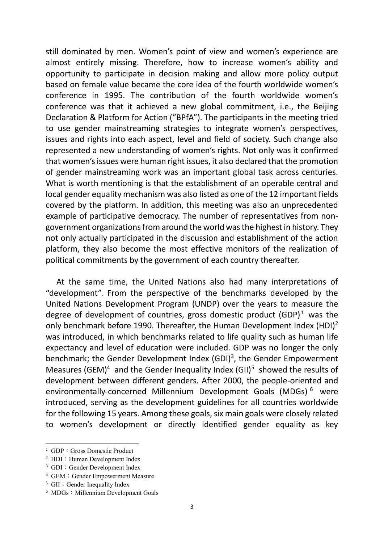still dominated by men. Women's point of view and women's experience are almost entirely missing. Therefore, how to increase women's ability and opportunity to participate in decision making and allow more policy output based on female value became the core idea of the fourth worldwide women's conference in 1995. The contribution of the fourth worldwide women's conference was that it achieved a new global commitment, i.e., the Beijing Declaration & Platform for Action ("BPfA"). The participants in the meeting tried to use gender mainstreaming strategies to integrate women's perspectives, issues and rights into each aspect, level and field of society. Such change also represented a new understanding of women's rights. Not only was it confirmed that women's issues were human right issues, it also declared that the promotion of gender mainstreaming work was an important global task across centuries. What is worth mentioning is that the establishment of an operable central and local gender equality mechanism was also listed as one of the 12 important fields covered by the platform. In addition, this meeting was also an unprecedented example of participative democracy. The number of representatives from nongovernment organizations from around the world was the highest in history. They not only actually participated in the discussion and establishment of the action platform, they also become the most effective monitors of the realization of political commitments by the government of each country thereafter.

At the same time, the United Nations also had many interpretations of "development". From the perspective of the benchmarks developed by the United Nations Development Program (UNDP) over the years to measure the degree of development of countries, gross domestic product (GDP)<sup>1</sup> was the only benchmark before 1990. Thereafter, the Human Development Index (HDI)<sup>2</sup> was introduced, in which benchmarks related to life quality such as human life expectancy and level of education were included. GDP was no longer the only benchmark; the Gender Development Index (GDI)<sup>3</sup>, the Gender Empowerment Measures (GEM)<sup>4</sup> and the Gender Inequality Index (GII)<sup>5</sup> showed the results of development between different genders. After 2000, the people-oriented and environmentally-concerned Millennium Development Goals (MDGs)<sup>6</sup> were introduced, serving as the development guidelines for all countries worldwide for the following 15 years. Among these goals, six main goals were closely related to women's development or directly identified gender equality as key

 $\overline{a}$ 

<sup>&</sup>lt;sup>1</sup> GDP: Gross Domestic Product

 $2$  HDI: Human Development Index

<sup>&</sup>lt;sup>3</sup> GDI: Gender Development Index

<sup>&</sup>lt;sup>4</sup> GEM: Gender Empowerment Measure

<sup>5</sup> GII:Gender Inequality Index

 $6$  MDGs : Millennium Development Goals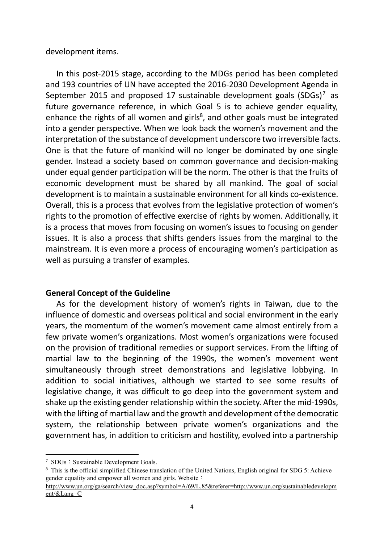development items.

In this post-2015 stage, according to the MDGs period has been completed and 193 countries of UN have accepted the 2016-2030 Development Agenda in September 2015 and proposed 17 sustainable development goals (SDGs)<sup>7</sup> as future governance reference, in which Goal 5 is to achieve gender equality, enhance the rights of all women and girls<sup>8</sup>, and other goals must be integrated into a gender perspective. When we look back the women's movement and the interpretation of the substance of development underscore two irreversible facts. One is that the future of mankind will no longer be dominated by one single gender. Instead a society based on common governance and decision-making under equal gender participation will be the norm. The other is that the fruits of economic development must be shared by all mankind. The goal of social development is to maintain a sustainable environment for all kinds co-existence. Overall, this is a process that evolves from the legislative protection of women's rights to the promotion of effective exercise of rights by women. Additionally, it is a process that moves from focusing on women's issues to focusing on gender issues. It is also a process that shifts genders issues from the marginal to the mainstream. It is even more a process of encouraging women's participation as well as pursuing a transfer of examples.

#### **General Concept of the Guideline**

As for the development history of women's rights in Taiwan, due to the influence of domestic and overseas political and social environment in the early years, the momentum of the women's movement came almost entirely from a few private women's organizations. Most women's organizations were focused on the provision of traditional remedies or support services. From the lifting of martial law to the beginning of the 1990s, the women's movement went simultaneously through street demonstrations and legislative lobbying. In addition to social initiatives, although we started to see some results of legislative change, it was difficult to go deep into the government system and shake up the existing gender relationship within the society. After the mid-1990s, with the lifting of martial law and the growth and development of the democratic system, the relationship between private women's organizations and the government has, in addition to criticism and hostility, evolved into a partnership

 $\overline{a}$ 

<sup>&</sup>lt;sup>7</sup> SDGs : Sustainable Development Goals.

<sup>8</sup> This is the official simplified Chinese translation of the United Nations, English original for SDG 5: Achieve gender equality and empower all women and girls. Website:

[http://www.un.org/ga/search/view\\_doc.asp?symbol=A/69/L.85&referer=http://www.un.org/sustainabledevelopm](http://www.un.org/ga/search/view_doc.asp?symbol=A/69/L.85&referer=http://www.un.org/sustainabledevelopment/&Lang=C) [ent/&Lang=C](http://www.un.org/ga/search/view_doc.asp?symbol=A/69/L.85&referer=http://www.un.org/sustainabledevelopment/&Lang=C)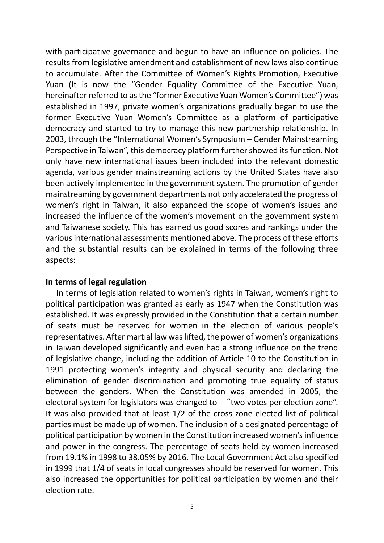with participative governance and begun to have an influence on policies. The results from legislative amendment and establishment of new laws also continue to accumulate. After the Committee of Women's Rights Promotion, Executive Yuan (It is now the "Gender Equality Committee of the Executive Yuan, hereinafter referred to as the "former Executive Yuan Women's Committee") was established in 1997, private women's organizations gradually began to use the former Executive Yuan Women's Committee as a platform of participative democracy and started to try to manage this new partnership relationship. In 2003, through the "International Women's Symposium – Gender Mainstreaming Perspective in Taiwan", this democracy platform further showed its function. Not only have new international issues been included into the relevant domestic agenda, various gender mainstreaming actions by the United States have also been actively implemented in the government system. The promotion of gender mainstreaming by government departments not only accelerated the progress of women's right in Taiwan, it also expanded the scope of women's issues and increased the influence of the women's movement on the government system and Taiwanese society. This has earned us good scores and rankings under the various international assessments mentioned above. The process of these efforts and the substantial results can be explained in terms of the following three aspects:

#### **In terms of legal regulation**

In terms of legislation related to women's rights in Taiwan, women's right to political participation was granted as early as 1947 when the Constitution was established. It was expressly provided in the Constitution that a certain number of seats must be reserved for women in the election of various people's representatives. After martial law was lifted, the power of women's organizations in Taiwan developed significantly and even had a strong influence on the trend of legislative change, including the addition of Article 10 to the Constitution in 1991 protecting women's integrity and physical security and declaring the elimination of gender discrimination and promoting true equality of status between the genders. When the Constitution was amended in 2005, the electoral system for legislators was changed to "two votes per election zone". It was also provided that at least 1/2 of the cross-zone elected list of political parties must be made up of women. The inclusion of a designated percentage of political participation by women in the Constitution increased women's influence and power in the congress. The percentage of seats held by women increased from 19.1% in 1998 to 38.05% by 2016. The Local Government Act also specified in 1999 that 1/4 of seats in local congresses should be reserved for women. This also increased the opportunities for political participation by women and their election rate.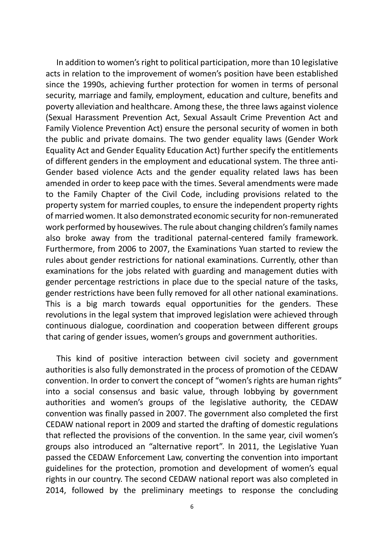In addition to women's right to political participation, more than 10 legislative acts in relation to the improvement of women's position have been established since the 1990s, achieving further protection for women in terms of personal security, marriage and family, employment, education and culture, benefits and poverty alleviation and healthcare. Among these, the three laws against violence (Sexual Harassment Prevention Act, Sexual Assault Crime Prevention Act and Family Violence Prevention Act) ensure the personal security of women in both the public and private domains. The two gender equality laws (Gender Work Equality Act and Gender Equality Education Act) further specify the entitlements of different genders in the employment and educational system. The three anti-Gender based violence Acts and the gender equality related laws has been amended in order to keep pace with the times. Several amendments were made to the Family Chapter of the Civil Code, including provisions related to the property system for married couples, to ensure the independent property rights of married women. It also demonstrated economic security for non-remunerated work performed by housewives. The rule about changing children's family names also broke away from the traditional paternal-centered family framework. Furthermore, from 2006 to 2007, the Examinations Yuan started to review the rules about gender restrictions for national examinations. Currently, other than examinations for the jobs related with guarding and management duties with gender percentage restrictions in place due to the special nature of the tasks, gender restrictions have been fully removed for all other national examinations. This is a big march towards equal opportunities for the genders. These revolutions in the legal system that improved legislation were achieved through continuous dialogue, coordination and cooperation between different groups that caring of gender issues, women's groups and government authorities.

This kind of positive interaction between civil society and government authorities is also fully demonstrated in the process of promotion of the CEDAW convention. In order to convert the concept of "women's rights are human rights" into a social consensus and basic value, through lobbying by government authorities and women's groups of the legislative authority, the CEDAW convention was finally passed in 2007. The government also completed the first CEDAW national report in 2009 and started the drafting of domestic regulations that reflected the provisions of the convention. In the same year, civil women's groups also introduced an "alternative report". In 2011, the Legislative Yuan passed the CEDAW Enforcement Law, converting the convention into important guidelines for the protection, promotion and development of women's equal rights in our country. The second CEDAW national report was also completed in 2014, followed by the preliminary meetings to response the concluding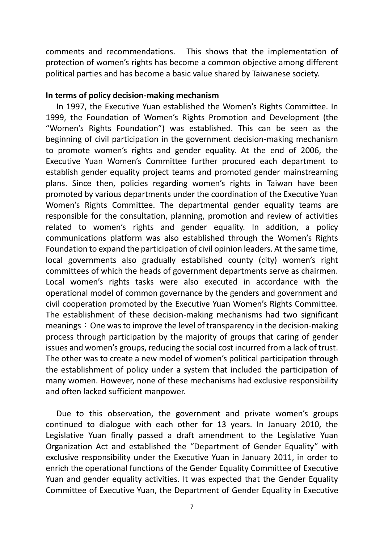comments and recommendations. This shows that the implementation of protection of women's rights has become a common objective among different political parties and has become a basic value shared by Taiwanese society.

#### **In terms of policy decision-making mechanism**

In 1997, the Executive Yuan established the Women's Rights Committee. In 1999, the Foundation of Women's Rights Promotion and Development (the "Women's Rights Foundation") was established. This can be seen as the beginning of civil participation in the government decision-making mechanism to promote women's rights and gender equality. At the end of 2006, the Executive Yuan Women's Committee further procured each department to establish gender equality project teams and promoted gender mainstreaming plans. Since then, policies regarding women's rights in Taiwan have been promoted by various departments under the coordination of the Executive Yuan Women's Rights Committee. The departmental gender equality teams are responsible for the consultation, planning, promotion and review of activities related to women's rights and gender equality. In addition, a policy communications platform was also established through the Women's Rights Foundation to expand the participation of civil opinion leaders. At the same time, local governments also gradually established county (city) women's right committees of which the heads of government departments serve as chairmen. Local women's rights tasks were also executed in accordance with the operational model of common governance by the genders and government and civil cooperation promoted by the Executive Yuan Women's Rights Committee. The establishment of these decision-making mechanisms had two significant meanings: One was to improve the level of transparency in the decision-making process through participation by the majority of groups that caring of gender issues and women's groups, reducing the social cost incurred from a lack of trust. The other was to create a new model of women's political participation through the establishment of policy under a system that included the participation of many women. However, none of these mechanisms had exclusive responsibility and often lacked sufficient manpower.

Due to this observation, the government and private women's groups continued to dialogue with each other for 13 years. In January 2010, the Legislative Yuan finally passed a draft amendment to the Legislative Yuan Organization Act and established the "Department of Gender Equality" with exclusive responsibility under the Executive Yuan in January 2011, in order to enrich the operational functions of the Gender Equality Committee of Executive Yuan and gender equality activities. It was expected that the Gender Equality Committee of Executive Yuan, the Department of Gender Equality in Executive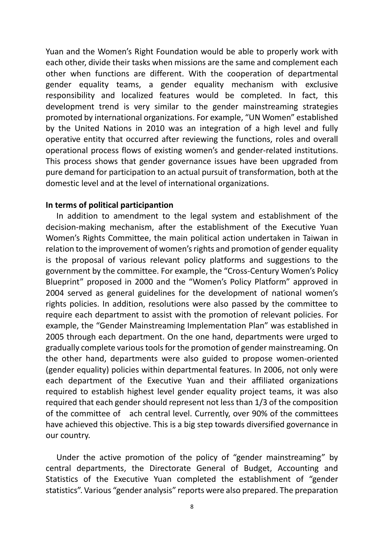Yuan and the Women's Right Foundation would be able to properly work with each other, divide their tasks when missions are the same and complement each other when functions are different. With the cooperation of departmental gender equality teams, a gender equality mechanism with exclusive responsibility and localized features would be completed. In fact, this development trend is very similar to the gender mainstreaming strategies promoted by international organizations. For example, "UN Women" established by the United Nations in 2010 was an integration of a high level and fully operative entity that occurred after reviewing the functions, roles and overall operational process flows of existing women's and gender-related institutions. This process shows that gender governance issues have been upgraded from pure demand for participation to an actual pursuit of transformation, both at the domestic level and at the level of international organizations.

#### **In terms of political participantion**

In addition to amendment to the legal system and establishment of the decision-making mechanism, after the establishment of the Executive Yuan Women's Rights Committee, the main political action undertaken in Taiwan in relation to the improvement of women's rights and promotion of gender equality is the proposal of various relevant policy platforms and suggestions to the government by the committee. For example, the "Cross-Century Women's Policy Blueprint" proposed in 2000 and the "Women's Policy Platform" approved in 2004 served as general guidelines for the development of national women's rights policies. In addition, resolutions were also passed by the committee to require each department to assist with the promotion of relevant policies. For example, the "Gender Mainstreaming Implementation Plan" was established in 2005 through each department. On the one hand, departments were urged to gradually complete various tools for the promotion of gender mainstreaming. On the other hand, departments were also guided to propose women-oriented (gender equality) policies within departmental features. In 2006, not only were each department of the Executive Yuan and their affiliated organizations required to establish highest level gender equality project teams, it was also required that each gender should represent not less than 1/3 of the composition of the committee of ach central level. Currently, over 90% of the committees have achieved this objective. This is a big step towards diversified governance in our country.

Under the active promotion of the policy of "gender mainstreaming" by central departments, the Directorate General of Budget, Accounting and Statistics of the Executive Yuan completed the establishment of "gender statistics". Various "gender analysis" reports were also prepared. The preparation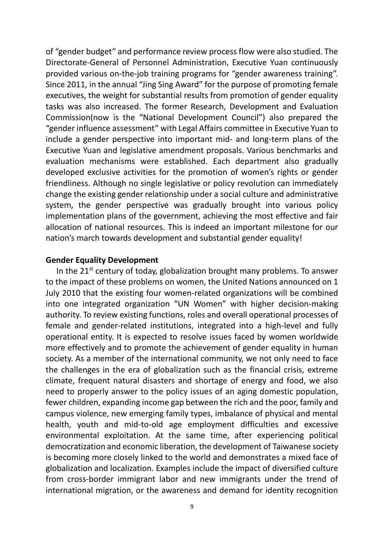of "gender budget" and performance review process flow were also studied. The Directorate-General of Personnel Administration, Executive Yuan continuously provided various on-the-job training programs for "gender awareness training". Since 2011, in the annual "Jing Sing Award" for the purpose of promoting female executives, the weight for substantial results from promotion of gender equality tasks was also increased. The former Research, Development and Evaluation Commission(now is the "National Development Council") also prepared the "gender influence assessment" with Legal Affairs committee in Executive Yuan to include a gender perspective into important mid- and long-term plans of the Executive Yuan and legislative amendment proposals. Various benchmarks and evaluation mechanisms were established. Each department also gradually developed exclusive activities for the promotion of women's rights or gender friendliness. Although no single legislative or policy revolution can immediately change the existing gender relationship under a social culture and administrative system, the gender perspective was gradually brought into various policy implementation plans of the government, achieving the most effective and fair allocation of national resources. This is indeed an important milestone for our nation's march towards development and substantial gender equality!

#### **Gender Equality Development**

In the  $21<sup>st</sup>$  century of today, globalization brought many problems. To answer to the impact of these problems on women, the United Nations announced on 1 July 2010 that the existing four women-related organizations will be combined into one integrated organization "UN Women" with higher decision-making authority. To review existing functions, roles and overall operational processes of female and gender-related institutions, integrated into a high-level and fully operational entity. It is expected to resolve issues faced by women worldwide more effectively and to promote the achievement of gender equality in human society. As a member of the international community, we not only need to face the challenges in the era of globalization such as the financial crisis, extreme climate, frequent natural disasters and shortage of energy and food, we also need to properly answer to the policy issues of an aging domestic population, fewer children, expanding income gap between the rich and the poor, family and campus violence, new emerging family types, imbalance of physical and mental health, youth and mid-to-old age employment difficulties and excessive environmental exploitation. At the same time, after experiencing political democratization and economic liberation, the development of Taiwanese society is becoming more closely linked to the world and demonstrates a mixed face of globalization and localization. Examples include the impact of diversified culture from cross-border immigrant labor and new immigrants under the trend of international migration, or the awareness and demand for identity recognition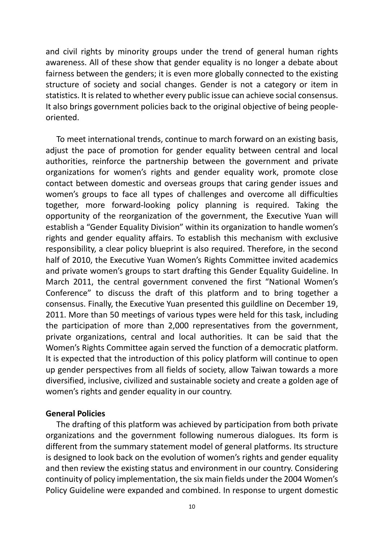and civil rights by minority groups under the trend of general human rights awareness. All of these show that gender equality is no longer a debate about fairness between the genders; it is even more globally connected to the existing structure of society and social changes. Gender is not a category or item in statistics. It is related to whether every public issue can achieve social consensus. It also brings government policies back to the original objective of being peopleoriented.

To meet international trends, continue to march forward on an existing basis, adjust the pace of promotion for gender equality between central and local authorities, reinforce the partnership between the government and private organizations for women's rights and gender equality work, promote close contact between domestic and overseas groups that caring gender issues and women's groups to face all types of challenges and overcome all difficulties together, more forward-looking policy planning is required. Taking the opportunity of the reorganization of the government, the Executive Yuan will establish a "Gender Equality Division" within its organization to handle women's rights and gender equality affairs. To establish this mechanism with exclusive responsibility, a clear policy blueprint is also required. Therefore, in the second half of 2010, the Executive Yuan Women's Rights Committee invited academics and private women's groups to start drafting this Gender Equality Guideline. In March 2011, the central government convened the first "National Women's Conference" to discuss the draft of this platform and to bring together a consensus. Finally, the Executive Yuan presented this guildline on December 19, 2011. More than 50 meetings of various types were held for this task, including the participation of more than 2,000 representatives from the government, private organizations, central and local authorities. It can be said that the Women's Rights Committee again served the function of a democratic platform. It is expected that the introduction of this policy platform will continue to open up gender perspectives from all fields of society, allow Taiwan towards a more diversified, inclusive, civilized and sustainable society and create a golden age of women's rights and gender equality in our country.

#### **General Policies**

The drafting of this platform was achieved by participation from both private organizations and the government following numerous dialogues. Its form is different from the summary statement model of general platforms. Its structure is designed to look back on the evolution of women's rights and gender equality and then review the existing status and environment in our country. Considering continuity of policy implementation, the six main fields under the 2004 Women's Policy Guideline were expanded and combined. In response to urgent domestic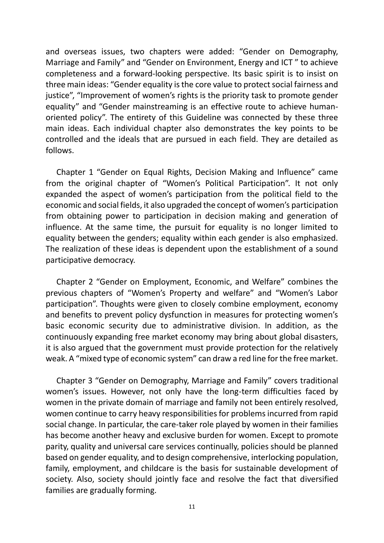and overseas issues, two chapters were added: "Gender on Demography, Marriage and Family" and "Gender on Environment, Energy and ICT " to achieve completeness and a forward-looking perspective. Its basic spirit is to insist on three main ideas: "Gender equality is the core value to protect social fairness and justice", "Improvement of women's rights is the priority task to promote gender equality" and "Gender mainstreaming is an effective route to achieve humanoriented policy". The entirety of this Guideline was connected by these three main ideas. Each individual chapter also demonstrates the key points to be controlled and the ideals that are pursued in each field. They are detailed as follows.

Chapter 1 "Gender on Equal Rights, Decision Making and Influence" came from the original chapter of "Women's Political Participation". It not only expanded the aspect of women's participation from the political field to the economic and social fields, it also upgraded the concept of women's participation from obtaining power to participation in decision making and generation of influence. At the same time, the pursuit for equality is no longer limited to equality between the genders; equality within each gender is also emphasized. The realization of these ideas is dependent upon the establishment of a sound participative democracy.

Chapter 2 "Gender on Employment, Economic, and Welfare" combines the previous chapters of "Women's Property and welfare" and "Women's Labor participation". Thoughts were given to closely combine employment, economy and benefits to prevent policy dysfunction in measures for protecting women's basic economic security due to administrative division. In addition, as the continuously expanding free market economy may bring about global disasters, it is also argued that the government must provide protection for the relatively weak. A "mixed type of economic system" can draw a red line for the free market.

Chapter 3 "Gender on Demography, Marriage and Family" covers traditional women's issues. However, not only have the long-term difficulties faced by women in the private domain of marriage and family not been entirely resolved, women continue to carry heavy responsibilities for problems incurred from rapid social change. In particular, the care-taker role played by women in their families has become another heavy and exclusive burden for women. Except to promote parity, quality and universal care services continually, policies should be planned based on gender equality, and to design comprehensive, interlocking population, family, employment, and childcare is the basis for sustainable development of society. Also, society should jointly face and resolve the fact that diversified families are gradually forming.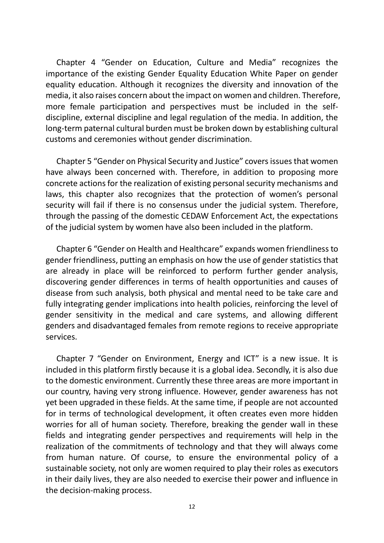Chapter 4 "Gender on Education, Culture and Media" recognizes the importance of the existing Gender Equality Education White Paper on gender equality education. Although it recognizes the diversity and innovation of the media, it also raises concern about the impact on women and children. Therefore, more female participation and perspectives must be included in the selfdiscipline, external discipline and legal regulation of the media. In addition, the long-term paternal cultural burden must be broken down by establishing cultural customs and ceremonies without gender discrimination.

Chapter 5 "Gender on Physical Security and Justice" covers issues that women have always been concerned with. Therefore, in addition to proposing more concrete actions for the realization of existing personal security mechanisms and laws, this chapter also recognizes that the protection of women's personal security will fail if there is no consensus under the judicial system. Therefore, through the passing of the domestic CEDAW Enforcement Act, the expectations of the judicial system by women have also been included in the platform.

Chapter 6 "Gender on Health and Healthcare" expands women friendliness to gender friendliness, putting an emphasis on how the use of gender statistics that are already in place will be reinforced to perform further gender analysis, discovering gender differences in terms of health opportunities and causes of disease from such analysis, both physical and mental need to be take care and fully integrating gender implications into health policies, reinforcing the level of gender sensitivity in the medical and care systems, and allowing different genders and disadvantaged females from remote regions to receive appropriate services.

Chapter 7 "Gender on Environment, Energy and ICT" is a new issue. It is included in this platform firstly because it is a global idea. Secondly, it is also due to the domestic environment. Currently these three areas are more important in our country, having very strong influence. However, gender awareness has not yet been upgraded in these fields. At the same time, if people are not accounted for in terms of technological development, it often creates even more hidden worries for all of human society. Therefore, breaking the gender wall in these fields and integrating gender perspectives and requirements will help in the realization of the commitments of technology and that they will always come from human nature. Of course, to ensure the environmental policy of a sustainable society, not only are women required to play their roles as executors in their daily lives, they are also needed to exercise their power and influence in the decision-making process.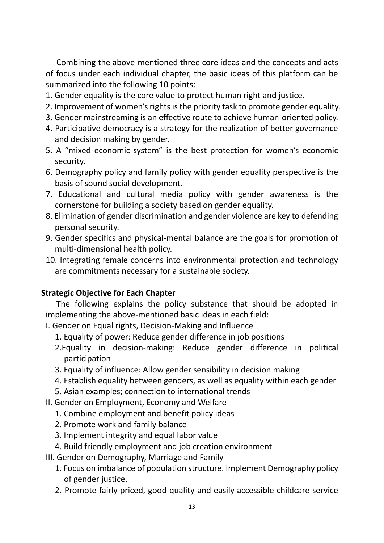Combining the above-mentioned three core ideas and the concepts and acts of focus under each individual chapter, the basic ideas of this platform can be summarized into the following 10 points:

- 1. Gender equality is the core value to protect human right and justice.
- 2. Improvement of women's rights is the priority task to promote gender equality.
- 3. Gender mainstreaming is an effective route to achieve human-oriented policy.
- 4. Participative democracy is a strategy for the realization of better governance and decision making by gender.
- 5. A "mixed economic system" is the best protection for women's economic security.
- 6. Demography policy and family policy with gender equality perspective is the basis of sound social development.
- 7. Educational and cultural media policy with gender awareness is the cornerstone for building a society based on gender equality.
- 8. Elimination of gender discrimination and gender violence are key to defending personal security.
- 9. Gender specifics and physical-mental balance are the goals for promotion of multi-dimensional health policy.
- 10. Integrating female concerns into environmental protection and technology are commitments necessary for a sustainable society.

## **Strategic Objective for Each Chapter**

The following explains the policy substance that should be adopted in implementing the above-mentioned basic ideas in each field:

- I. Gender on Equal rights, Decision-Making and Influence
	- 1. Equality of power: Reduce gender difference in job positions
	- 2.Equality in decision-making: Reduce gender difference in political participation
	- 3. Equality of influence: Allow gender sensibility in decision making
	- 4. Establish equality between genders, as well as equality within each gender
	- 5. Asian examples; connection to international trends
- II. Gender on Employment, Economy and Welfare
	- 1. Combine employment and benefit policy ideas
	- 2. Promote work and family balance
	- 3. Implement integrity and equal labor value
	- 4. Build friendly employment and job creation environment
- III. Gender on Demography, Marriage and Family
	- 1. Focus on imbalance of population structure. Implement Demography policy of gender justice.
	- 2. Promote fairly-priced, good-quality and easily-accessible childcare service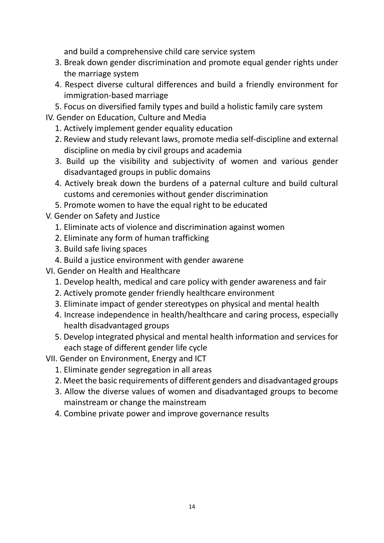and build a comprehensive child care service system

- 3. Break down gender discrimination and promote equal gender rights under the marriage system
- 4. Respect diverse cultural differences and build a friendly environment for immigration-based marriage
- 5. Focus on diversified family types and build a holistic family care system
- IV. Gender on Education, Culture and Media
	- 1. Actively implement gender equality education
	- 2. Review and study relevant laws, promote media self-discipline and external discipline on media by civil groups and academia
	- 3. Build up the visibility and subjectivity of women and various gender disadvantaged groups in public domains
	- 4. Actively break down the burdens of a paternal culture and build cultural customs and ceremonies without gender discrimination
	- 5. Promote women to have the equal right to be educated
- V. Gender on Safety and Justice
	- 1. Eliminate acts of violence and discrimination against women
	- 2. Eliminate any form of human trafficking
	- 3. Build safe living spaces
	- 4. Build a justice environment with gender awarene
- VI. Gender on Health and Healthcare
	- 1. Develop health, medical and care policy with gender awareness and fair
	- 2. Actively promote gender friendly healthcare environment
	- 3. Eliminate impact of gender stereotypes on physical and mental health
	- 4. Increase independence in health/healthcare and caring process, especially health disadvantaged groups
	- 5. Develop integrated physical and mental health information and services for each stage of different gender life cycle
- VII. Gender on Environment, Energy and ICT
	- 1. Eliminate gender segregation in all areas
	- 2. Meet the basic requirements of different genders and disadvantaged groups
	- 3. Allow the diverse values of women and disadvantaged groups to become mainstream or change the mainstream
	- 4. Combine private power and improve governance results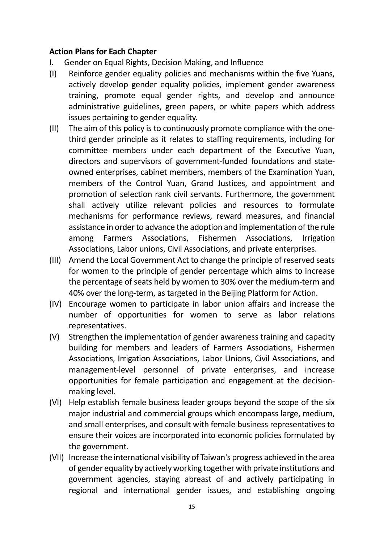### **Action Plans for Each Chapter**

- I. Gender on Equal Rights, Decision Making, and Influence
- (I) Reinforce gender equality policies and mechanisms within the five Yuans, actively develop gender equality policies, implement gender awareness training, promote equal gender rights, and develop and announce administrative guidelines, green papers, or white papers which address issues pertaining to gender equality.
- (II) The aim of this policy is to continuously promote compliance with the onethird gender principle as it relates to staffing requirements, including for committee members under each department of the Executive Yuan, directors and supervisors of government-funded foundations and stateowned enterprises, cabinet members, members of the Examination Yuan, members of the Control Yuan, Grand Justices, and appointment and promotion of selection rank civil servants. Furthermore, the government shall actively utilize relevant policies and resources to formulate mechanisms for performance reviews, reward measures, and financial assistance in order to advance the adoption and implementation of the rule among Farmers Associations, Fishermen Associations, Irrigation Associations, Labor unions, Civil Associations, and private enterprises.
- (III) Amend the Local Government Act to change the principle of reserved seats for women to the principle of gender percentage which aims to increase the percentage of seats held by women to 30% over the medium-term and 40% over the long-term, as targeted in the Beijing Platform for Action.
- (IV) Encourage women to participate in labor union affairs and increase the number of opportunities for women to serve as labor relations representatives.
- (V) Strengthen the implementation of gender awareness training and capacity building for members and leaders of Farmers Associations, Fishermen Associations, Irrigation Associations, Labor Unions, Civil Associations, and management-level personnel of private enterprises, and increase opportunities for female participation and engagement at the decisionmaking level.
- (VI) Help establish female business leader groups beyond the scope of the six major industrial and commercial groups which encompass large, medium, and small enterprises, and consult with female business representatives to ensure their voices are incorporated into economic policies formulated by the government.
- (VII) Increase the international visibility of Taiwan's progress achieved in the area of gender equality by actively working together with private institutions and government agencies, staying abreast of and actively participating in regional and international gender issues, and establishing ongoing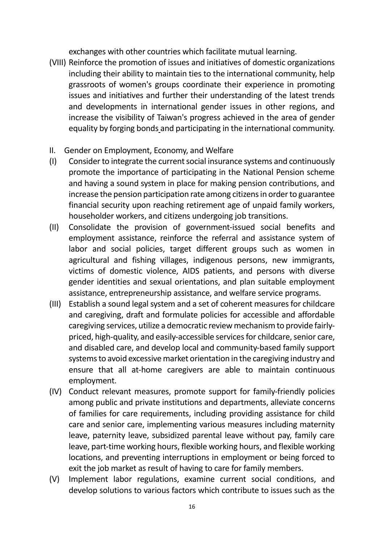exchanges with other countries which facilitate mutual learning.

- (VIII) Reinforce the promotion of issues and initiatives of domestic organizations including their ability to maintain ties to the international community, help grassroots of women's groups coordinate their experience in promoting issues and initiatives and further their understanding of the latest trends and developments in international gender issues in other regions, and increase the visibility of Taiwan's progress achieved in the area of gender equality by forging bonds and participating in the international community.
- II. Gender on Employment, Economy, and Welfare
- (I) Consider to integrate the current social insurance systems and continuously promote the importance of participating in the National Pension scheme and having a sound system in place for making pension contributions, and increase the pension participation rate among citizens in order to guarantee financial security upon reaching retirement age of unpaid family workers, householder workers, and citizens undergoing job transitions.
- (II) Consolidate the provision of government-issued social benefits and employment assistance, reinforce the referral and assistance system of labor and social policies, target different groups such as women in agricultural and fishing villages, indigenous persons, new immigrants, victims of domestic violence, AIDS patients, and persons with diverse gender identities and sexual orientations, and plan suitable employment assistance, entrepreneurship assistance, and welfare service programs.
- (III) Establish a sound legal system and a set of coherent measures for childcare and caregiving, draft and formulate policies for accessible and affordable caregiving services, utilize a democratic review mechanism to provide fairlypriced, high-quality, and easily-accessible services for childcare, senior care, and disabled care, and develop local and community-based family support systems to avoid excessive market orientation in the caregiving industry and ensure that all at-home caregivers are able to maintain continuous employment.
- (IV) Conduct relevant measures, promote support for family-friendly policies among public and private institutions and departments, alleviate concerns of families for care requirements, including providing assistance for child care and senior care, implementing various measures including maternity leave, paternity leave, subsidized parental leave without pay, family care leave, part-time working hours, flexible working hours, and flexible working locations, and preventing interruptions in employment or being forced to exit the job market as result of having to care for family members.
- (V) Implement labor regulations, examine current social conditions, and develop solutions to various factors which contribute to issues such as the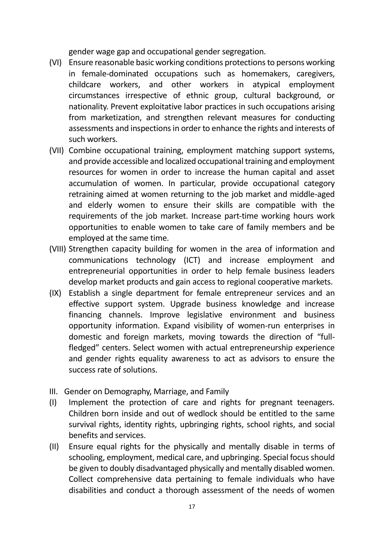gender wage gap and occupational gender segregation.

- (VI) Ensure reasonable basic working conditions protections to persons working in female-dominated occupations such as homemakers, caregivers, childcare workers, and other workers in atypical employment circumstances irrespective of ethnic group, cultural background, or nationality. Prevent exploitative labor practices in such occupations arising from marketization, and strengthen relevant measures for conducting assessments and inspections in order to enhance the rights and interests of such workers.
- (VII) Combine occupational training, employment matching support systems, and provide accessible and localized occupational training and employment resources for women in order to increase the human capital and asset accumulation of women. In particular, provide occupational category retraining aimed at women returning to the job market and middle-aged and elderly women to ensure their skills are compatible with the requirements of the job market. Increase part-time working hours work opportunities to enable women to take care of family members and be employed at the same time.
- (VIII) Strengthen capacity building for women in the area of information and communications technology (ICT) and increase employment and entrepreneurial opportunities in order to help female business leaders develop market products and gain access to regional cooperative markets.
- (IX) Establish a single department for female entrepreneur services and an effective support system. Upgrade business knowledge and increase financing channels. Improve legislative environment and business opportunity information. Expand visibility of women-run enterprises in domestic and foreign markets, moving towards the direction of "fullfledged" centers. Select women with actual entrepreneurship experience and gender rights equality awareness to act as advisors to ensure the success rate of solutions.
- III. Gender on Demography, Marriage, and Family
- (I) Implement the protection of care and rights for pregnant teenagers. Children born inside and out of wedlock should be entitled to the same survival rights, identity rights, upbringing rights, school rights, and social benefits and services.
- (II) Ensure equal rights for the physically and mentally disable in terms of schooling, employment, medical care, and upbringing. Special focus should be given to doubly disadvantaged physically and mentally disabled women. Collect comprehensive data pertaining to female individuals who have disabilities and conduct a thorough assessment of the needs of women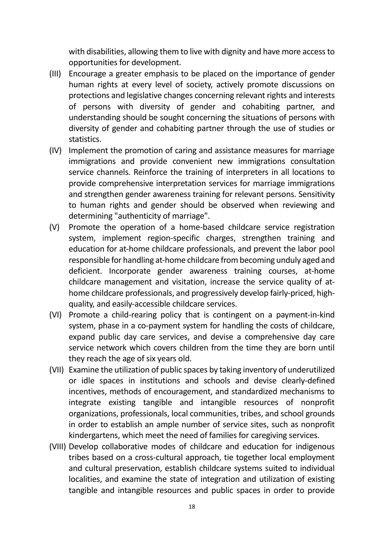with disabilities, allowing them to live with dignity and have more access to opportunities for development.

- (III) Encourage a greater emphasis to be placed on the importance of gender human rights at every level of society, actively promote discussions on protections and legislative changes concerning relevant rights and interests of persons with diversity of gender and cohabiting partner, and understanding should be sought concerning the situations of persons with diversity of gender and cohabiting partner through the use of studies or statistics.
- (IV) Implement the promotion of caring and assistance measures for marriage immigrations and provide convenient new immigrations consultation service channels. Reinforce the training of interpreters in all locations to provide comprehensive interpretation services for marriage immigrations and strengthen gender awareness training for relevant persons. Sensitivity to human rights and gender should be observed when reviewing and determining "authenticity of marriage".
- (V) Promote the operation of a home-based childcare service registration system, implement region-specific charges, strengthen training and education for at-home childcare professionals, and prevent the labor pool responsible for handling at-home childcare from becoming unduly aged and deficient. Incorporate gender awareness training courses, at-home childcare management and visitation, increase the service quality of athome childcare professionals, and progressively develop fairly-priced, highquality, and easily-accessible childcare services.
- (VI) Promote a child-rearing policy that is contingent on a payment-in-kind system, phase in a co-payment system for handling the costs of childcare, expand public day care services, and devise a comprehensive day care service network which covers children from the time they are born until they reach the age of six years old.
- (VII) Examine the utilization of public spaces by taking inventory of underutilized or idle spaces in institutions and schools and devise clearly-defined incentives, methods of encouragement, and standardized mechanisms to integrate existing tangible and intangible resources of nonprofit organizations, professionals, local communities, tribes, and school grounds in order to establish an ample number of service sites, such as nonprofit kindergartens, which meet the need of families for caregiving services.
- (VIII) Develop collaborative modes of childcare and education for indigenous tribes based on a cross-cultural approach, tie together local employment and cultural preservation, establish childcare systems suited to individual localities, and examine the state of integration and utilization of existing tangible and intangible resources and public spaces in order to provide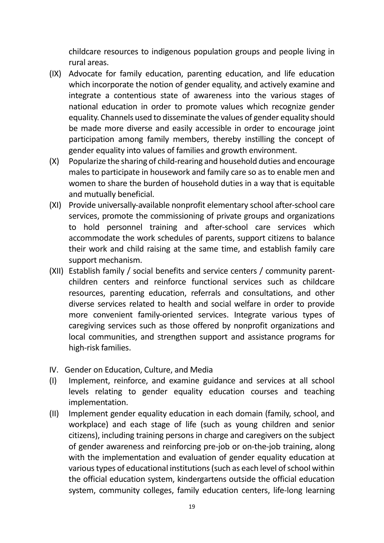childcare resources to indigenous population groups and people living in rural areas.

- (IX) Advocate for family education, parenting education, and life education which incorporate the notion of gender equality, and actively examine and integrate a contentious state of awareness into the various stages of national education in order to promote values which recognize gender equality. Channels used to disseminate the values of gender equality should be made more diverse and easily accessible in order to encourage joint participation among family members, thereby instilling the concept of gender equality into values of families and growth environment.
- (X) Popularize the sharing of child-rearing and household duties and encourage males to participate in housework and family care so as to enable men and women to share the burden of household duties in a way that is equitable and mutually beneficial.
- (XI) Provide universally-available nonprofit elementary school after-school care services, promote the commissioning of private groups and organizations to hold personnel training and after-school care services which accommodate the work schedules of parents, support citizens to balance their work and child raising at the same time, and establish family care support mechanism.
- (XII) Establish family / social benefits and service centers / community parentchildren centers and reinforce functional services such as childcare resources, parenting education, referrals and consultations, and other diverse services related to health and social welfare in order to provide more convenient family-oriented services. Integrate various types of caregiving services such as those offered by nonprofit organizations and local communities, and strengthen support and assistance programs for high-risk families.
- IV. Gender on Education, Culture, and Media
- (I) Implement, reinforce, and examine guidance and services at all school levels relating to gender equality education courses and teaching implementation.
- (II) Implement gender equality education in each domain (family, school, and workplace) and each stage of life (such as young children and senior citizens), including training persons in charge and caregivers on the subject of gender awareness and reinforcing pre-job or on-the-job training, along with the implementation and evaluation of gender equality education at various types of educational institutions (such as each level of school within the official education system, kindergartens outside the official education system, community colleges, family education centers, life-long learning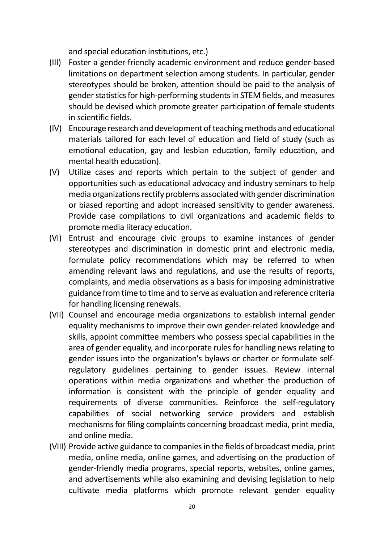and special education institutions, etc.)

- (III) Foster a gender-friendly academic environment and reduce gender-based limitations on department selection among students. In particular, gender stereotypes should be broken, attention should be paid to the analysis of gender statistics for high-performing students in STEM fields, and measures should be devised which promote greater participation of female students in scientific fields.
- (IV) Encourage research and development of teaching methods and educational materials tailored for each level of education and field of study (such as emotional education, gay and lesbian education, family education, and mental health education).
- (V) Utilize cases and reports which pertain to the subject of gender and opportunities such as educational advocacy and industry seminars to help media organizations rectify problems associated with gender discrimination or biased reporting and adopt increased sensitivity to gender awareness. Provide case compilations to civil organizations and academic fields to promote media literacy education.
- (VI) Entrust and encourage civic groups to examine instances of gender stereotypes and discrimination in domestic print and electronic media, formulate policy recommendations which may be referred to when amending relevant laws and regulations, and use the results of reports, complaints, and media observations as a basis for imposing administrative guidance from time to time and to serve as evaluation and reference criteria for handling licensing renewals.
- (VII) Counsel and encourage media organizations to establish internal gender equality mechanisms to improve their own gender-related knowledge and skills, appoint committee members who possess special capabilities in the area of gender equality, and incorporate rules for handling news relating to gender issues into the organization's bylaws or charter or formulate selfregulatory guidelines pertaining to gender issues. Review internal operations within media organizations and whether the production of information is consistent with the principle of gender equality and requirements of diverse communities. Reinforce the self-regulatory capabilities of social networking service providers and establish mechanisms for filing complaints concerning broadcast media, print media, and online media.
- (VIII) Provide active guidance to companiesin the fields of broadcast media, print media, online media, online games, and advertising on the production of gender-friendly media programs, special reports, websites, online games, and advertisements while also examining and devising legislation to help cultivate media platforms which promote relevant gender equality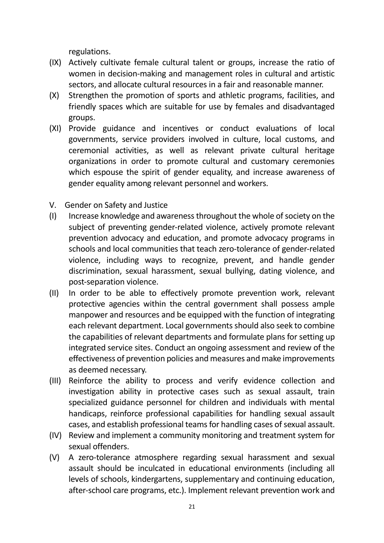regulations.

- (IX) Actively cultivate female cultural talent or groups, increase the ratio of women in decision-making and management roles in cultural and artistic sectors, and allocate cultural resources in a fair and reasonable manner.
- (X) Strengthen the promotion of sports and athletic programs, facilities, and friendly spaces which are suitable for use by females and disadvantaged groups.
- (XI) Provide guidance and incentives or conduct evaluations of local governments, service providers involved in culture, local customs, and ceremonial activities, as well as relevant private cultural heritage organizations in order to promote cultural and customary ceremonies which espouse the spirit of gender equality, and increase awareness of gender equality among relevant personnel and workers.
- V. Gender on Safety and Justice
- (I) Increase knowledge and awareness throughout the whole of society on the subject of preventing gender-related violence, actively promote relevant prevention advocacy and education, and promote advocacy programs in schools and local communities that teach zero-tolerance of gender-related violence, including ways to recognize, prevent, and handle gender discrimination, sexual harassment, sexual bullying, dating violence, and post-separation violence.
- (II) In order to be able to effectively promote prevention work, relevant protective agencies within the central government shall possess ample manpower and resources and be equipped with the function of integrating each relevant department. Local governments should also seek to combine the capabilities of relevant departments and formulate plans for setting up integrated service sites. Conduct an ongoing assessment and review of the effectiveness of prevention policies and measures and make improvements as deemed necessary.
- (III) Reinforce the ability to process and verify evidence collection and investigation ability in protective cases such as sexual assault, train specialized guidance personnel for children and individuals with mental handicaps, reinforce professional capabilities for handling sexual assault cases, and establish professional teams for handling cases of sexual assault.
- (IV) Review and implement a community monitoring and treatment system for sexual offenders.
- (V) A zero-tolerance atmosphere regarding sexual harassment and sexual assault should be inculcated in educational environments (including all levels of schools, kindergartens, supplementary and continuing education, after-school care programs, etc.). Implement relevant prevention work and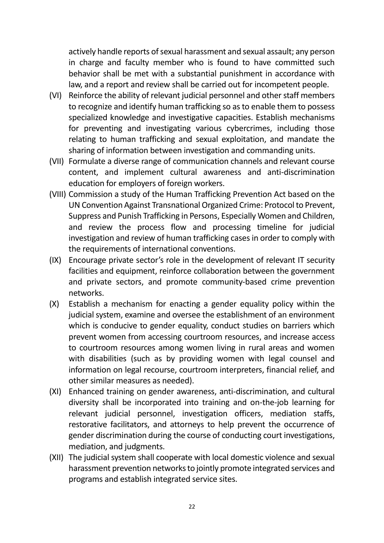actively handle reports of sexual harassment and sexual assault; any person in charge and faculty member who is found to have committed such behavior shall be met with a substantial punishment in accordance with law, and a report and review shall be carried out for incompetent people.

- (VI) Reinforce the ability of relevant judicial personnel and other staff members to recognize and identify human trafficking so as to enable them to possess specialized knowledge and investigative capacities. Establish mechanisms for preventing and investigating various cybercrimes, including those relating to human trafficking and sexual exploitation, and mandate the sharing of information between investigation and commanding units.
- (VII) Formulate a diverse range of communication channels and relevant course content, and implement cultural awareness and anti-discrimination education for employers of foreign workers.
- (VIII) Commission a study of the Human Trafficking Prevention Act based on the UN Convention Against Transnational Organized Crime: Protocol to Prevent, Suppress and Punish Trafficking in Persons, Especially Women and Children, and review the process flow and processing timeline for judicial investigation and review of human trafficking cases in order to comply with the requirements of international conventions.
- (IX) Encourage private sector's role in the development of relevant IT security facilities and equipment, reinforce collaboration between the government and private sectors, and promote community-based crime prevention networks.
- (X) Establish a mechanism for enacting a gender equality policy within the judicial system, examine and oversee the establishment of an environment which is conducive to gender equality, conduct studies on barriers which prevent women from accessing courtroom resources, and increase access to courtroom resources among women living in rural areas and women with disabilities (such as by providing women with legal counsel and information on legal recourse, courtroom interpreters, financial relief, and other similar measures as needed).
- (XI) Enhanced training on gender awareness, anti-discrimination, and cultural diversity shall be incorporated into training and on-the-job learning for relevant judicial personnel, investigation officers, mediation staffs, restorative facilitators, and attorneys to help prevent the occurrence of gender discrimination during the course of conducting court investigations, mediation, and judgments.
- (XII) The judicial system shall cooperate with local domestic violence and sexual harassment prevention networks to jointly promote integrated services and programs and establish integrated service sites.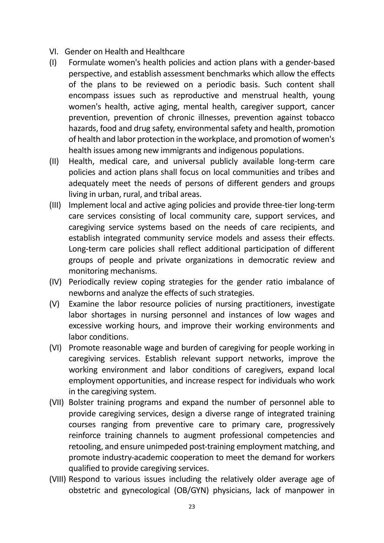- VI. Gender on Health and Healthcare
- (I) Formulate women's health policies and action plans with a gender-based perspective, and establish assessment benchmarks which allow the effects of the plans to be reviewed on a periodic basis. Such content shall encompass issues such as reproductive and menstrual health, young women's health, active aging, mental health, caregiver support, cancer prevention, prevention of chronic illnesses, prevention against tobacco hazards, food and drug safety, environmental safety and health, promotion of health and labor protection in the workplace, and promotion of women's health issues among new immigrants and indigenous populations.
- (II) Health, medical care, and universal publicly available long-term care policies and action plans shall focus on local communities and tribes and adequately meet the needs of persons of different genders and groups living in urban, rural, and tribal areas.
- (III) Implement local and active aging policies and provide three-tier long-term care services consisting of local community care, support services, and caregiving service systems based on the needs of care recipients, and establish integrated community service models and assess their effects. Long-term care policies shall reflect additional participation of different groups of people and private organizations in democratic review and monitoring mechanisms.
- (IV) Periodically review coping strategies for the gender ratio imbalance of newborns and analyze the effects of such strategies.
- (V) Examine the labor resource policies of nursing practitioners, investigate labor shortages in nursing personnel and instances of low wages and excessive working hours, and improve their working environments and labor conditions.
- (VI) Promote reasonable wage and burden of caregiving for people working in caregiving services. Establish relevant support networks, improve the working environment and labor conditions of caregivers, expand local employment opportunities, and increase respect for individuals who work in the caregiving system.
- (VII) Bolster training programs and expand the number of personnel able to provide caregiving services, design a diverse range of integrated training courses ranging from preventive care to primary care, progressively reinforce training channels to augment professional competencies and retooling, and ensure unimpeded post-training employment matching, and promote industry-academic cooperation to meet the demand for workers qualified to provide caregiving services.
- (VIII) Respond to various issues including the relatively older average age of obstetric and gynecological (OB/GYN) physicians, lack of manpower in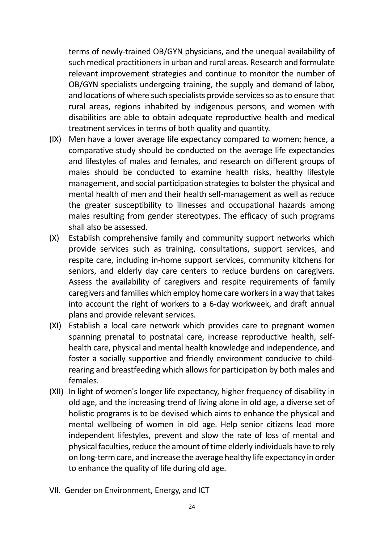terms of newly-trained OB/GYN physicians, and the unequal availability of such medical practitioners in urban and rural areas. Research and formulate relevant improvement strategies and continue to monitor the number of OB/GYN specialists undergoing training, the supply and demand of labor, and locations of where such specialists provide services so as to ensure that rural areas, regions inhabited by indigenous persons, and women with disabilities are able to obtain adequate reproductive health and medical treatment services in terms of both quality and quantity.

- (IX) Men have a lower average life expectancy compared to women; hence, a comparative study should be conducted on the average life expectancies and lifestyles of males and females, and research on different groups of males should be conducted to examine health risks, healthy lifestyle management, and social participation strategies to bolster the physical and mental health of men and their health self-management as well as reduce the greater susceptibility to illnesses and occupational hazards among males resulting from gender stereotypes. The efficacy of such programs shall also be assessed.
- (X) Establish comprehensive family and community support networks which provide services such as training, consultations, support services, and respite care, including in-home support services, community kitchens for seniors, and elderly day care centers to reduce burdens on caregivers. Assess the availability of caregivers and respite requirements of family caregivers and families which employ home care workers in a way that takes into account the right of workers to a 6-day workweek, and draft annual plans and provide relevant services.
- (XI) Establish a local care network which provides care to pregnant women spanning prenatal to postnatal care, increase reproductive health, selfhealth care, physical and mental health knowledge and independence, and foster a socially supportive and friendly environment conducive to childrearing and breastfeeding which allows for participation by both males and females.
- (XII) In light of women's longer life expectancy, higher frequency of disability in old age, and the increasing trend of living alone in old age, a diverse set of holistic programs is to be devised which aims to enhance the physical and mental wellbeing of women in old age. Help senior citizens lead more independent lifestyles, prevent and slow the rate of loss of mental and physical faculties, reduce the amount of time elderly individuals have to rely on long-term care, and increase the average healthy life expectancy in order to enhance the quality of life during old age.
- VII. Gender on Environment, Energy, and ICT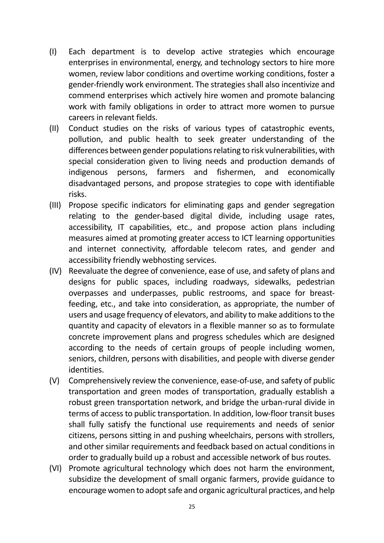- (I) Each department is to develop active strategies which encourage enterprises in environmental, energy, and technology sectors to hire more women, review labor conditions and overtime working conditions, foster a gender-friendly work environment. The strategies shall also incentivize and commend enterprises which actively hire women and promote balancing work with family obligations in order to attract more women to pursue careers in relevant fields.
- (II) Conduct studies on the risks of various types of catastrophic events, pollution, and public health to seek greater understanding of the differences between gender populations relating to risk vulnerabilities, with special consideration given to living needs and production demands of indigenous persons, farmers and fishermen, and economically disadvantaged persons, and propose strategies to cope with identifiable risks.
- (III) Propose specific indicators for eliminating gaps and gender segregation relating to the gender-based digital divide, including usage rates, accessibility, IT capabilities, etc., and propose action plans including measures aimed at promoting greater access to ICT learning opportunities and internet connectivity, affordable telecom rates, and gender and accessibility friendly webhosting services.
- (IV) Reevaluate the degree of convenience, ease of use, and safety of plans and designs for public spaces, including roadways, sidewalks, pedestrian overpasses and underpasses, public restrooms, and space for breastfeeding, etc., and take into consideration, as appropriate, the number of users and usage frequency of elevators, and ability to make additions to the quantity and capacity of elevators in a flexible manner so as to formulate concrete improvement plans and progress schedules which are designed according to the needs of certain groups of people including women, seniors, children, persons with disabilities, and people with diverse gender identities.
- (V) Comprehensively review the convenience, ease-of-use, and safety of public transportation and green modes of transportation, gradually establish a robust green transportation network, and bridge the urban-rural divide in terms of access to public transportation. In addition, low-floor transit buses shall fully satisfy the functional use requirements and needs of senior citizens, persons sitting in and pushing wheelchairs, persons with strollers, and other similar requirements and feedback based on actual conditions in order to gradually build up a robust and accessible network of bus routes.
- (VI) Promote agricultural technology which does not harm the environment, subsidize the development of small organic farmers, provide guidance to encourage women to adopt safe and organic agricultural practices, and help